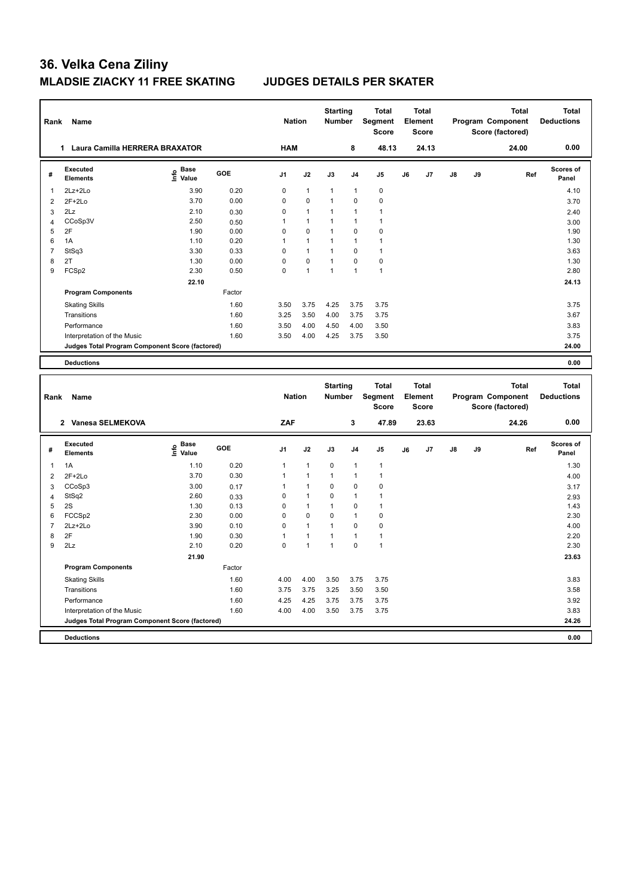| Rank           | Name                                                   |                                     |        | <b>Nation</b>  |              | <b>Starting</b><br>Number |                | <b>Total</b><br>Segment<br><b>Score</b> |    | <b>Total</b><br>Element<br><b>Score</b> |    |    | <b>Total</b><br>Program Component<br>Score (factored) | <b>Total</b><br><b>Deductions</b> |
|----------------|--------------------------------------------------------|-------------------------------------|--------|----------------|--------------|---------------------------|----------------|-----------------------------------------|----|-----------------------------------------|----|----|-------------------------------------------------------|-----------------------------------|
|                | 1 Laura Camilla HERRERA BRAXATOR                       |                                     |        | <b>HAM</b>     |              |                           | 8              | 48.13                                   |    | 24.13                                   |    |    | 24.00                                                 | 0.00                              |
| #              | <b>Executed</b><br><b>Elements</b>                     | e Base<br>E Value                   | GOE    | J <sub>1</sub> | J2           | J3                        | J <sub>4</sub> | J <sub>5</sub>                          | J6 | J7                                      | J8 | J9 | Ref                                                   | <b>Scores of</b><br>Panel         |
| $\mathbf{1}$   | 2Lz+2Lo                                                | 3.90                                | 0.20   | $\mathbf 0$    | $\mathbf{1}$ | $\mathbf{1}$              | $\overline{1}$ | $\mathbf 0$                             |    |                                         |    |    |                                                       | 4.10                              |
| $\overline{2}$ | $2F+2Lo$                                               | 3.70                                | 0.00   | $\mathbf 0$    | $\pmb{0}$    | $\mathbf{1}$              | $\mathbf 0$    | $\pmb{0}$                               |    |                                         |    |    |                                                       | 3.70                              |
| $\mathbf{3}$   | 2Lz                                                    | 2.10                                | 0.30   | $\pmb{0}$      | $\mathbf{1}$ | $\mathbf{1}$              | $\mathbf{1}$   | $\mathbf{1}$                            |    |                                         |    |    |                                                       | 2.40                              |
| $\overline{4}$ | CCoSp3V                                                | 2.50                                | 0.50   | 1              | $\mathbf{1}$ | 1                         | 1              | 1                                       |    |                                         |    |    |                                                       | 3.00                              |
| 5              | 2F                                                     | 1.90                                | 0.00   | $\mathbf 0$    | 0            | $\mathbf{1}$              | $\mathbf 0$    | $\mathbf 0$                             |    |                                         |    |    |                                                       | 1.90                              |
| 6              | 1A                                                     | 1.10                                | 0.20   | $\mathbf{1}$   | $\mathbf{1}$ | $\mathbf{1}$              | 1              | $\overline{1}$                          |    |                                         |    |    |                                                       | 1.30                              |
| $\overline{7}$ | StSq3                                                  | 3.30                                | 0.33   | $\mathbf 0$    | $\mathbf{1}$ | $\mathbf{1}$              | $\mathbf 0$    | $\overline{1}$                          |    |                                         |    |    |                                                       | 3.63                              |
| 8              | 2T                                                     | 1.30                                | 0.00   | $\mathbf 0$    | $\mathbf 0$  | $\mathbf{1}$              | $\mathbf 0$    | $\pmb{0}$                               |    |                                         |    |    |                                                       | 1.30                              |
| 9              | FCSp2                                                  | 2.30                                | 0.50   | $\mathbf 0$    | $\mathbf{1}$ | $\mathbf{1}$              | 1              | $\overline{1}$                          |    |                                         |    |    |                                                       | 2.80                              |
|                |                                                        | 22.10                               |        |                |              |                           |                |                                         |    |                                         |    |    |                                                       | 24.13                             |
|                | <b>Program Components</b>                              |                                     | Factor |                |              |                           |                |                                         |    |                                         |    |    |                                                       |                                   |
|                | <b>Skating Skills</b>                                  |                                     | 1.60   | 3.50           | 3.75         | 4.25                      | 3.75           | 3.75                                    |    |                                         |    |    |                                                       | 3.75                              |
|                | Transitions                                            |                                     | 1.60   | 3.25           | 3.50         | 4.00                      | 3.75           | 3.75                                    |    |                                         |    |    |                                                       | 3.67                              |
|                | Performance                                            |                                     | 1.60   | 3.50           | 4.00         | 4.50                      | 4.00           | 3.50                                    |    |                                         |    |    |                                                       | 3.83                              |
|                | Interpretation of the Music                            |                                     | 1.60   | 3.50           | 4.00         | 4.25                      | 3.75           | 3.50                                    |    |                                         |    |    |                                                       | 3.75                              |
|                | Judges Total Program Component Score (factored)        |                                     |        |                |              |                           |                |                                         |    |                                         |    |    |                                                       | 24.00                             |
|                |                                                        |                                     |        |                |              |                           |                |                                         |    |                                         |    |    |                                                       |                                   |
|                | <b>Deductions</b>                                      |                                     |        |                |              |                           |                |                                         |    |                                         |    |    |                                                       | 0.00                              |
|                |                                                        |                                     |        |                |              |                           |                |                                         |    |                                         |    |    |                                                       |                                   |
|                |                                                        |                                     |        |                |              |                           |                |                                         |    |                                         |    |    |                                                       |                                   |
|                |                                                        |                                     |        |                |              | <b>Starting</b>           |                | <b>Total</b>                            |    | <b>Total</b>                            |    |    | <b>Total</b>                                          | <b>Total</b>                      |
| Rank           | Name                                                   |                                     |        | <b>Nation</b>  |              | Number                    |                | <b>Segment</b>                          |    | Element                                 |    |    | Program Component                                     | <b>Deductions</b>                 |
|                |                                                        |                                     |        |                |              |                           |                | Score                                   |    | Score                                   |    |    | Score (factored)                                      |                                   |
|                | 2 Vanesa SELMEKOVA                                     |                                     |        | ZAF            |              |                           | 3              | 47.89                                   |    | 23.63                                   |    |    | 24.26                                                 | 0.00                              |
| #              | <b>Executed</b>                                        |                                     | GOE    | J <sub>1</sub> | J2           | J3                        | J4             | J5                                      | J6 | J7                                      | J8 | J9 | Ref                                                   | <b>Scores of</b>                  |
|                | <b>Elements</b>                                        | $\epsilon$ Base<br>$\epsilon$ Value |        |                |              |                           |                |                                         |    |                                         |    |    |                                                       | Panel                             |
| 1              | 1A                                                     | 1.10                                | 0.20   | $\mathbf{1}$   | $\mathbf{1}$ | 0                         | $\mathbf{1}$   | $\overline{1}$                          |    |                                         |    |    |                                                       | 1.30                              |
| $\overline{2}$ | $2F+2Lo$                                               | 3.70                                | 0.30   | 1              | $\mathbf{1}$ | $\mathbf{1}$              | 1              | $\mathbf{1}$                            |    |                                         |    |    |                                                       | 4.00                              |
| 3              | CCoSp3                                                 | 3.00                                | 0.17   | 1              | $\mathbf{1}$ | $\mathbf 0$               | $\mathbf 0$    | $\mathbf 0$                             |    |                                         |    |    |                                                       | 3.17                              |
| $\overline{4}$ | StSq2                                                  | 2.60                                | 0.33   | $\mathbf 0$    | $\mathbf{1}$ | 0                         | 1              | $\overline{1}$                          |    |                                         |    |    |                                                       | 2.93                              |
| 5              | 2S                                                     | 1.30                                | 0.13   | $\mathbf 0$    | $\mathbf{1}$ | $\mathbf{1}$              | $\mathbf 0$    | 1                                       |    |                                         |    |    |                                                       | 1.43                              |
| 6              | FCCSp2                                                 | 2.30                                | 0.00   | 0              | $\Omega$     | $\Omega$                  | 1              | $\Omega$                                |    |                                         |    |    |                                                       | 2.30                              |
| $\overline{7}$ | 2Lz+2Lo                                                | 3.90                                | 0.10   | $\mathbf 0$    | $\mathbf{1}$ | $\mathbf{1}$              | $\Omega$       | $\pmb{0}$                               |    |                                         |    |    |                                                       | 4.00                              |
| 8              | 2F                                                     | 1.90                                | 0.30   | $\mathbf{1}$   | $\mathbf{1}$ | $\mathbf{1}$              | $\mathbf{1}$   | $\overline{1}$                          |    |                                         |    |    |                                                       | 2.20                              |
| 9              | 2Lz                                                    | 2.10                                | 0.20   | $\mathbf 0$    | $\mathbf{1}$ | $\mathbf{1}$              | $\mathbf 0$    | $\overline{1}$                          |    |                                         |    |    |                                                       | 2.30                              |
|                |                                                        | 21.90                               |        |                |              |                           |                |                                         |    |                                         |    |    |                                                       | 23.63                             |
|                | <b>Program Components</b>                              |                                     | Factor |                |              |                           |                |                                         |    |                                         |    |    |                                                       |                                   |
|                | <b>Skating Skills</b>                                  |                                     | 1.60   | 4.00           | 4.00         | 3.50                      | 3.75           | 3.75                                    |    |                                         |    |    |                                                       | 3.83                              |
|                | Transitions                                            |                                     | 1.60   | 3.75           | 3.75         | 3.25                      | 3.50           | 3.50                                    |    |                                         |    |    |                                                       | 3.58                              |
|                | Performance                                            |                                     | 1.60   | 4.25           | 4.25         | 3.75                      | 3.75           | 3.75                                    |    |                                         |    |    |                                                       | 3.92                              |
|                | Interpretation of the Music                            |                                     | 1.60   | 4.00           | 4.00         | 3.50                      | 3.75           | 3.75                                    |    |                                         |    |    |                                                       | 3.83                              |
|                | <b>Judges Total Program Component Score (factored)</b> |                                     |        |                |              |                           |                |                                         |    |                                         |    |    |                                                       | 24.26                             |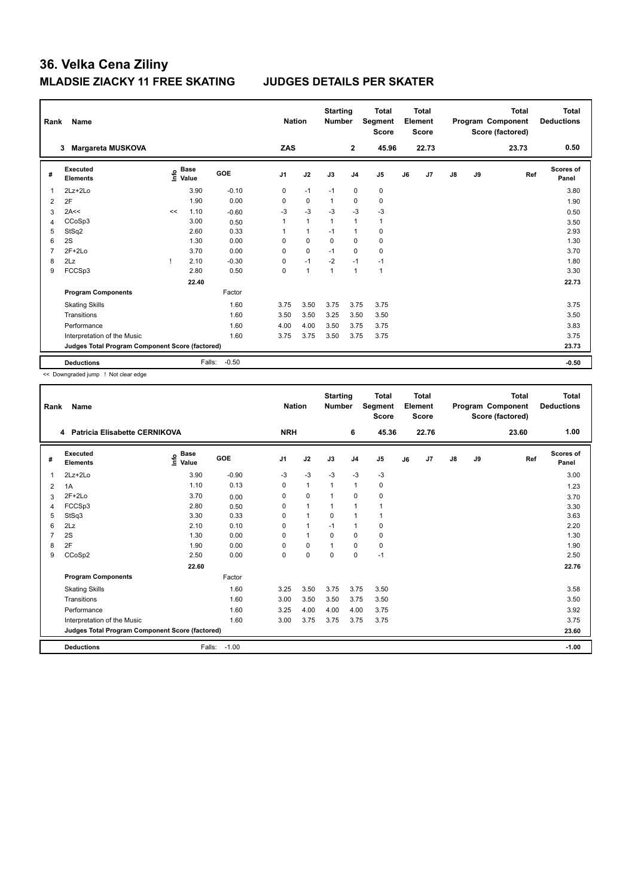| Rank | Name                                            |      |                      |         | <b>Nation</b>  |                | <b>Starting</b><br><b>Number</b> |                | <b>Total</b><br>Segment<br><b>Score</b> |    | Total<br>Element<br>Score |    |    | <b>Total</b><br>Program Component<br>Score (factored) | Total<br><b>Deductions</b> |
|------|-------------------------------------------------|------|----------------------|---------|----------------|----------------|----------------------------------|----------------|-----------------------------------------|----|---------------------------|----|----|-------------------------------------------------------|----------------------------|
|      | <b>Margareta MUSKOVA</b><br>3                   |      |                      |         | ZAS            |                |                                  | $\overline{2}$ | 45.96                                   |    | 22.73                     |    |    | 23.73                                                 | 0.50                       |
| #    | <b>Executed</b><br><b>Elements</b>              | ١nfo | <b>Base</b><br>Value | GOE     | J <sub>1</sub> | J2             | J3                               | J <sub>4</sub> | J <sub>5</sub>                          | J6 | J7                        | J8 | J9 | Ref                                                   | <b>Scores of</b><br>Panel  |
| 1    | $2Lz + 2Lo$                                     |      | 3.90                 | $-0.10$ | 0              | $-1$           | $-1$                             | $\mathbf 0$    | $\mathbf 0$                             |    |                           |    |    |                                                       | 3.80                       |
| 2    | 2F                                              |      | 1.90                 | 0.00    | 0              | $\mathbf 0$    | 1                                | 0              | $\pmb{0}$                               |    |                           |    |    |                                                       | 1.90                       |
| 3    | 2A<<                                            | <<   | 1.10                 | $-0.60$ | $-3$           | $-3$           | $-3$                             | $-3$           | $-3$                                    |    |                           |    |    |                                                       | 0.50                       |
| 4    | CCoSp3                                          |      | 3.00                 | 0.50    | 1              | $\mathbf{1}$   | 1                                | $\overline{1}$ | $\mathbf{1}$                            |    |                           |    |    |                                                       | 3.50                       |
| 5    | StSq2                                           |      | 2.60                 | 0.33    | 1              | $\mathbf{1}$   | $-1$                             | $\overline{1}$ | 0                                       |    |                           |    |    |                                                       | 2.93                       |
| 6    | 2S                                              |      | 1.30                 | 0.00    | 0              | $\mathbf 0$    | $\mathbf 0$                      | $\mathbf 0$    | $\pmb{0}$                               |    |                           |    |    |                                                       | 1.30                       |
| 7    | $2F+2Lo$                                        |      | 3.70                 | 0.00    | $\Omega$       | $\mathbf 0$    | $-1$                             | $\mathbf 0$    | $\mathbf 0$                             |    |                           |    |    |                                                       | 3.70                       |
| 8    | 2Lz                                             | л.   | 2.10                 | $-0.30$ | 0              | $-1$           | $-2$                             | $-1$           | $-1$                                    |    |                           |    |    |                                                       | 1.80                       |
| 9    | FCCSp3                                          |      | 2.80                 | 0.50    | 0              | $\overline{1}$ | 1                                | $\overline{1}$ | $\mathbf{1}$                            |    |                           |    |    |                                                       | 3.30                       |
|      |                                                 |      | 22.40                |         |                |                |                                  |                |                                         |    |                           |    |    |                                                       | 22.73                      |
|      | <b>Program Components</b>                       |      |                      | Factor  |                |                |                                  |                |                                         |    |                           |    |    |                                                       |                            |
|      | <b>Skating Skills</b>                           |      |                      | 1.60    | 3.75           | 3.50           | 3.75                             | 3.75           | 3.75                                    |    |                           |    |    |                                                       | 3.75                       |
|      | Transitions                                     |      |                      | 1.60    | 3.50           | 3.50           | 3.25                             | 3.50           | 3.50                                    |    |                           |    |    |                                                       | 3.50                       |
|      | Performance                                     |      |                      | 1.60    | 4.00           | 4.00           | 3.50                             | 3.75           | 3.75                                    |    |                           |    |    |                                                       | 3.83                       |
|      | Interpretation of the Music                     |      |                      | 1.60    | 3.75           | 3.75           | 3.50                             | 3.75           | 3.75                                    |    |                           |    |    |                                                       | 3.75                       |
|      | Judges Total Program Component Score (factored) |      |                      |         |                |                |                                  |                |                                         |    |                           |    |    |                                                       | 23.73                      |
|      | <b>Deductions</b>                               |      | Falls:               | $-0.50$ |                |                |                                  |                |                                         |    |                           |    |    |                                                       | $-0.50$                    |

<< Downgraded jump ! Not clear edge

| Rank | Name                                            |                                  |         | <b>Nation</b>  |                      | <b>Starting</b><br><b>Number</b> |                | <b>Total</b><br>Segment<br><b>Score</b> |    | <b>Total</b><br>Element<br>Score |               |    | <b>Total</b><br>Program Component<br>Score (factored) | <b>Total</b><br><b>Deductions</b> |
|------|-------------------------------------------------|----------------------------------|---------|----------------|----------------------|----------------------------------|----------------|-----------------------------------------|----|----------------------------------|---------------|----|-------------------------------------------------------|-----------------------------------|
|      | <b>Patricia Elisabette CERNIKOVA</b><br>4       |                                  |         | <b>NRH</b>     |                      |                                  | 6              | 45.36                                   |    | 22.76                            |               |    | 23.60                                                 | 1.00                              |
| #    | Executed<br><b>Elements</b>                     | <b>Base</b><br>e Base<br>⊆ Value | GOE     | J <sub>1</sub> | J2                   | J3                               | J <sub>4</sub> | J <sub>5</sub>                          | J6 | J7                               | $\mathsf{J}8$ | J9 | Ref                                                   | <b>Scores of</b><br>Panel         |
| 1    | $2Lz + 2Lo$                                     | 3.90                             | $-0.90$ | -3             | -3                   | $-3$                             | $-3$           | $-3$                                    |    |                                  |               |    |                                                       | 3.00                              |
| 2    | 1A                                              | 1.10                             | 0.13    | 0              | $\mathbf{1}$         | 1                                | $\mathbf{1}$   | 0                                       |    |                                  |               |    |                                                       | 1.23                              |
| 3    | $2F+2Lo$                                        | 3.70                             | 0.00    | 0              | $\mathbf 0$          | 1                                | $\mathbf 0$    | $\mathbf 0$                             |    |                                  |               |    |                                                       | 3.70                              |
| 4    | FCCSp3                                          | 2.80                             | 0.50    | $\Omega$       | $\mathbf{1}$         | 1                                | $\mathbf{1}$   | $\mathbf{1}$                            |    |                                  |               |    |                                                       | 3.30                              |
| 5    | StSq3                                           | 3.30                             | 0.33    | 0              | $\mathbf{1}$         | 0                                | $\mathbf{1}$   | $\mathbf{1}$                            |    |                                  |               |    |                                                       | 3.63                              |
| 6    | 2Lz                                             | 2.10                             | 0.10    | 0              | $\blacktriangleleft$ | $-1$                             | $\mathbf{1}$   | 0                                       |    |                                  |               |    |                                                       | 2.20                              |
|      | 2S                                              | 1.30                             | 0.00    | 0              | $\mathbf{1}$         | 0                                | 0              | 0                                       |    |                                  |               |    |                                                       | 1.30                              |
| 8    | 2F                                              | 1.90                             | 0.00    | $\Omega$       | $\mathbf 0$          |                                  | $\mathbf 0$    | $\mathbf 0$                             |    |                                  |               |    |                                                       | 1.90                              |
| 9    | CCoSp2                                          | 2.50                             | 0.00    | 0              | $\mathbf 0$          | $\mathbf 0$                      | $\mathbf 0$    | $-1$                                    |    |                                  |               |    |                                                       | 2.50                              |
|      |                                                 | 22.60                            |         |                |                      |                                  |                |                                         |    |                                  |               |    |                                                       | 22.76                             |
|      | <b>Program Components</b>                       |                                  | Factor  |                |                      |                                  |                |                                         |    |                                  |               |    |                                                       |                                   |
|      | <b>Skating Skills</b>                           |                                  | 1.60    | 3.25           | 3.50                 | 3.75                             | 3.75           | 3.50                                    |    |                                  |               |    |                                                       | 3.58                              |
|      | Transitions                                     |                                  | 1.60    | 3.00           | 3.50                 | 3.50                             | 3.75           | 3.50                                    |    |                                  |               |    |                                                       | 3.50                              |
|      | Performance                                     |                                  | 1.60    | 3.25           | 4.00                 | 4.00                             | 4.00           | 3.75                                    |    |                                  |               |    |                                                       | 3.92                              |
|      | Interpretation of the Music                     |                                  | 1.60    | 3.00           | 3.75                 | 3.75                             | 3.75           | 3.75                                    |    |                                  |               |    |                                                       | 3.75                              |
|      | Judges Total Program Component Score (factored) |                                  |         |                |                      |                                  |                |                                         |    |                                  |               |    |                                                       | 23.60                             |
|      | <b>Deductions</b>                               | Falls:                           | $-1.00$ |                |                      |                                  |                |                                         |    |                                  |               |    |                                                       | $-1.00$                           |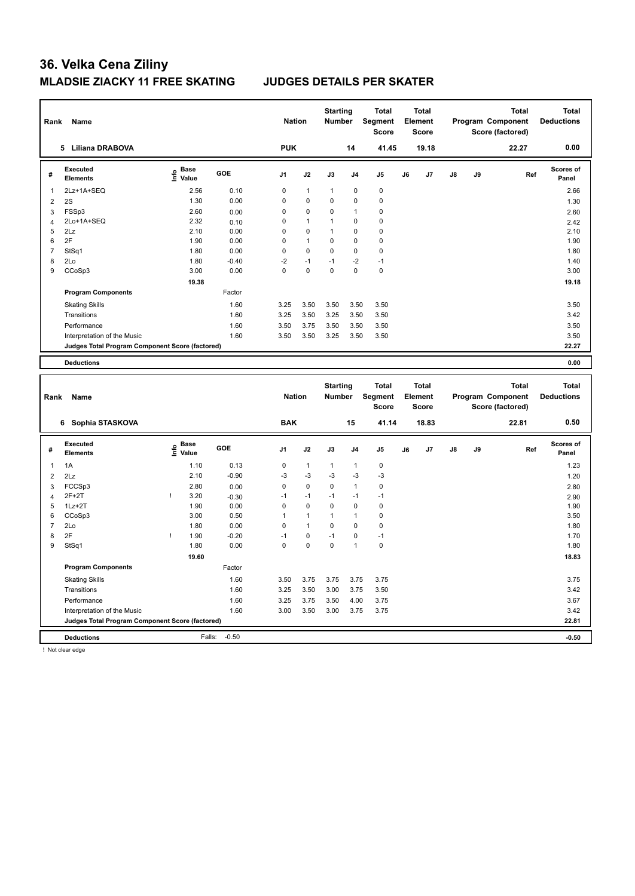| Rank           | Name                                            |                   |         | <b>Nation</b>  |                | <b>Starting</b><br><b>Number</b> |                | <b>Total</b><br>Segment<br><b>Score</b> |    | <b>Total</b><br>Element<br>Score |    |    | <b>Total</b><br>Program Component<br>Score (factored) | <b>Total</b><br><b>Deductions</b> |
|----------------|-------------------------------------------------|-------------------|---------|----------------|----------------|----------------------------------|----------------|-----------------------------------------|----|----------------------------------|----|----|-------------------------------------------------------|-----------------------------------|
|                | 5 Liliana DRABOVA                               |                   |         | <b>PUK</b>     |                |                                  | 14             | 41.45                                   |    | 19.18                            |    |    | 22.27                                                 | 0.00                              |
| #              | <b>Executed</b><br><b>Elements</b>              | ၉ Base<br>늘 Value | GOE     | J <sub>1</sub> | J2             | J3                               | J4             | J5                                      | J6 | J7                               | J8 | J9 | Ref                                                   | <b>Scores of</b><br>Panel         |
| 1              | 2Lz+1A+SEQ                                      | 2.56              | 0.10    | $\mathbf 0$    | $\mathbf{1}$   | $\mathbf{1}$                     | $\mathbf 0$    | 0                                       |    |                                  |    |    |                                                       | 2.66                              |
| 2              | 2S                                              | 1.30              | 0.00    | $\mathbf 0$    | $\pmb{0}$      | $\mathbf 0$                      | 0              | $\pmb{0}$                               |    |                                  |    |    |                                                       | 1.30                              |
| 3              | FSSp3                                           | 2.60              | 0.00    | $\mathbf 0$    | $\pmb{0}$      | $\mathbf 0$                      | 1              | $\pmb{0}$                               |    |                                  |    |    |                                                       | 2.60                              |
| $\overline{4}$ | 2Lo+1A+SEQ                                      | 2.32              | 0.10    | $\mathbf 0$    | $\mathbf{1}$   | $\mathbf{1}$                     | 0              | 0                                       |    |                                  |    |    |                                                       | 2.42                              |
| 5              | 2Lz                                             | 2.10              | 0.00    | $\mathbf 0$    | $\mathbf 0$    | $\mathbf{1}$                     | $\mathbf 0$    | $\mathbf 0$                             |    |                                  |    |    |                                                       | 2.10                              |
| 6              | 2F                                              | 1.90              | 0.00    | $\mathbf 0$    | $\overline{1}$ | $\mathbf 0$                      | $\mathbf 0$    | $\mathbf 0$                             |    |                                  |    |    |                                                       | 1.90                              |
| $\overline{7}$ | StSq1                                           | 1.80              | 0.00    | $\mathbf 0$    | $\mathbf 0$    | $\mathbf 0$                      | 0              | 0                                       |    |                                  |    |    |                                                       | 1.80                              |
| 8              | 2Lo                                             | 1.80              | $-0.40$ | $-2$           | $-1$           | $-1$                             | $-2$           | $-1$                                    |    |                                  |    |    |                                                       | 1.40                              |
| 9              | CCoSp3                                          | 3.00              | 0.00    | $\Omega$       | $\mathbf 0$    | $\mathbf 0$                      | $\mathbf 0$    | $\mathbf 0$                             |    |                                  |    |    |                                                       | 3.00                              |
|                |                                                 | 19.38             |         |                |                |                                  |                |                                         |    |                                  |    |    |                                                       | 19.18                             |
|                | <b>Program Components</b>                       |                   | Factor  |                |                |                                  |                |                                         |    |                                  |    |    |                                                       |                                   |
|                | <b>Skating Skills</b>                           |                   | 1.60    | 3.25           | 3.50           | 3.50                             | 3.50           | 3.50                                    |    |                                  |    |    |                                                       | 3.50                              |
|                | Transitions                                     |                   | 1.60    | 3.25           | 3.50           | 3.25                             | 3.50           | 3.50                                    |    |                                  |    |    |                                                       | 3.42                              |
|                | Performance                                     |                   | 1.60    | 3.50           | 3.75           | 3.50                             | 3.50           | 3.50                                    |    |                                  |    |    |                                                       | 3.50                              |
|                | Interpretation of the Music                     |                   | 1.60    | 3.50           | 3.50           | 3.25                             | 3.50           | 3.50                                    |    |                                  |    |    |                                                       | 3.50                              |
|                | Judges Total Program Component Score (factored) |                   |         |                |                |                                  |                |                                         |    |                                  |    |    |                                                       | 22.27                             |
|                |                                                 |                   |         |                |                |                                  |                |                                         |    |                                  |    |    |                                                       |                                   |
|                | <b>Deductions</b>                               |                   |         |                |                |                                  |                |                                         |    |                                  |    |    |                                                       | 0.00                              |
|                |                                                 |                   |         |                |                |                                  |                |                                         |    |                                  |    |    |                                                       |                                   |
|                |                                                 |                   |         |                |                |                                  |                |                                         |    |                                  |    |    |                                                       |                                   |
|                |                                                 |                   |         |                |                | <b>Starting</b>                  |                | <b>Total</b>                            |    | <b>Total</b>                     |    |    | <b>Total</b>                                          | <b>Total</b>                      |
| Rank           | Name                                            |                   |         | <b>Nation</b>  |                | <b>Number</b>                    |                | Segment                                 |    | Element                          |    |    | Program Component                                     | <b>Deductions</b>                 |
|                |                                                 |                   |         |                |                |                                  |                | Score                                   |    | <b>Score</b>                     |    |    | Score (factored)                                      |                                   |
|                |                                                 |                   |         |                |                |                                  |                |                                         |    |                                  |    |    |                                                       | 0.50                              |
|                | 6 Sophia STASKOVA                               |                   |         | <b>BAK</b>     |                |                                  | 15             | 41.14                                   |    | 18.83                            |    |    | 22.81                                                 |                                   |
|                | <b>Executed</b>                                 | <b>Base</b>       |         |                |                |                                  |                |                                         |    |                                  |    |    |                                                       | Scores of                         |
| #              | <b>Elements</b>                                 | lnfo<br>Value     | GOE     | J1             | J2             | J3                               | J <sub>4</sub> | J5                                      | J6 | J7                               | J8 | J9 | Ref                                                   | Panel                             |
| 1              | 1A                                              | 1.10              | 0.13    | $\pmb{0}$      | $\mathbf{1}$   | $\mathbf{1}$                     | $\mathbf{1}$   | 0                                       |    |                                  |    |    |                                                       | 1.23                              |
|                |                                                 |                   |         |                |                |                                  |                |                                         |    |                                  |    |    |                                                       |                                   |
| $\overline{2}$ | 2Lz                                             | 2.10              | $-0.90$ | -3             | -3             | $-3$                             | $-3$           | $-3$                                    |    |                                  |    |    |                                                       | 1.20                              |
| 3              | FCCSp3                                          | 2.80              | 0.00    | $\mathbf 0$    | $\mathbf 0$    | $\mathbf 0$                      | $\mathbf{1}$   | $\mathbf 0$                             |    |                                  |    |    |                                                       | 2.80                              |
| $\overline{4}$ | $2F+2T$                                         | Ţ<br>3.20         | $-0.30$ | $-1$           | $-1$           | $-1$                             | $-1$           | $-1$                                    |    |                                  |    |    |                                                       | 2.90                              |
| 5              | $1Lz + 2T$                                      | 1.90              | 0.00    | $\mathbf 0$    | $\mathbf 0$    | $\mathbf 0$                      | $\mathbf 0$    | $\mathbf 0$                             |    |                                  |    |    |                                                       | 1.90                              |
| 6              | CCoSp3                                          | 3.00              | 0.50    | $\overline{1}$ | $\mathbf{1}$   | $\mathbf{1}$                     | $\mathbf{1}$   | $\mathbf 0$                             |    |                                  |    |    |                                                       | 3.50                              |
| $\overline{7}$ | 2Lo                                             | 1.80              | 0.00    | $\mathbf 0$    | $\overline{1}$ | $\mathbf 0$                      | $\mathbf 0$    | $\mathbf 0$                             |    |                                  |    |    |                                                       | 1.80                              |
| 8              | 2F                                              | 1.90<br>T         | $-0.20$ | $-1$           | 0              | $-1$                             | $\mathbf 0$    | $-1$                                    |    |                                  |    |    |                                                       | 1.70                              |
| 9              | StSq1                                           | 1.80              | 0.00    | $\mathbf 0$    | $\mathbf 0$    | $\mathbf 0$                      | $\mathbf{1}$   | $\mathbf 0$                             |    |                                  |    |    |                                                       | 1.80                              |
|                |                                                 | 19.60             |         |                |                |                                  |                |                                         |    |                                  |    |    |                                                       | 18.83                             |
|                | <b>Program Components</b>                       |                   | Factor  |                |                |                                  |                |                                         |    |                                  |    |    |                                                       |                                   |
|                | <b>Skating Skills</b>                           |                   | 1.60    | 3.50           | 3.75           | 3.75                             | 3.75           | 3.75                                    |    |                                  |    |    |                                                       | 3.75                              |
|                | Transitions                                     |                   | 1.60    | 3.25           | 3.50           | 3.00                             | 3.75           | 3.50                                    |    |                                  |    |    |                                                       | 3.42                              |
|                | Performance                                     |                   | 1.60    | 3.25           | 3.75           | 3.50                             | 4.00           | 3.75                                    |    |                                  |    |    |                                                       | 3.67                              |
|                | Interpretation of the Music                     |                   | 1.60    | 3.00           | 3.50           | 3.00                             | 3.75           | 3.75                                    |    |                                  |    |    |                                                       | 3.42                              |
|                | Judges Total Program Component Score (factored) |                   |         |                |                |                                  |                |                                         |    |                                  |    |    |                                                       | 22.81                             |

! Not clear edge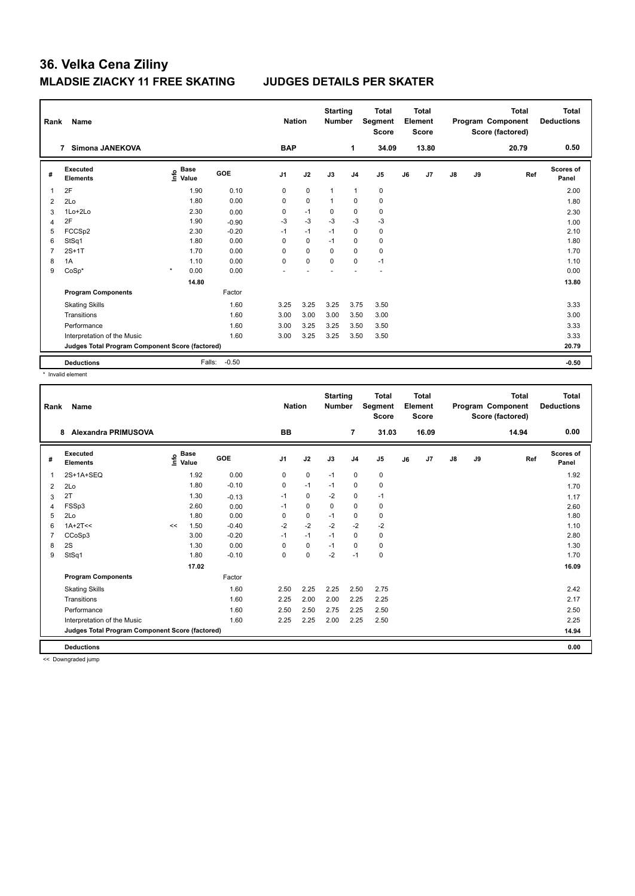| Rank | Name                                            |                              |         | <b>Nation</b>  |             | <b>Starting</b><br><b>Number</b> |                | <b>Total</b><br>Segment<br><b>Score</b> |    | Total<br>Element<br><b>Score</b> |    |    | <b>Total</b><br>Program Component<br>Score (factored) | <b>Total</b><br><b>Deductions</b> |
|------|-------------------------------------------------|------------------------------|---------|----------------|-------------|----------------------------------|----------------|-----------------------------------------|----|----------------------------------|----|----|-------------------------------------------------------|-----------------------------------|
|      | <b>Simona JANEKOVA</b><br>$\overline{7}$        |                              |         | <b>BAP</b>     |             |                                  | 1              | 34.09                                   |    | 13.80                            |    |    | 20.79                                                 | 0.50                              |
| #    | Executed<br><b>Elements</b>                     | <b>Base</b><br>lnfo<br>Value | GOE     | J <sub>1</sub> | J2          | J3                               | J <sub>4</sub> | J <sub>5</sub>                          | J6 | J7                               | J8 | J9 | Ref                                                   | Scores of<br>Panel                |
| 1    | 2F                                              | 1.90                         | 0.10    | 0              | $\mathbf 0$ | $\mathbf{1}$                     | $\overline{1}$ | $\pmb{0}$                               |    |                                  |    |    |                                                       | 2.00                              |
| 2    | 2Lo                                             | 1.80                         | 0.00    | 0              | $\pmb{0}$   | 1                                | $\pmb{0}$      | $\pmb{0}$                               |    |                                  |    |    |                                                       | 1.80                              |
| 3    | 1Lo+2Lo                                         | 2.30                         | 0.00    | 0              | $-1$        | 0                                | $\mathbf 0$    | $\pmb{0}$                               |    |                                  |    |    |                                                       | 2.30                              |
| 4    | 2F                                              | 1.90                         | $-0.90$ | $-3$           | $-3$        | $-3$                             | $-3$           | $-3$                                    |    |                                  |    |    |                                                       | 1.00                              |
| 5    | FCCS <sub>p2</sub>                              | 2.30                         | $-0.20$ | $-1$           | $-1$        | $-1$                             | 0              | 0                                       |    |                                  |    |    |                                                       | 2.10                              |
| 6    | StSq1                                           | 1.80                         | 0.00    | $\Omega$       | $\mathbf 0$ | $-1$                             | $\Omega$       | $\pmb{0}$                               |    |                                  |    |    |                                                       | 1.80                              |
| 7    | $2S+1T$                                         | 1.70                         | 0.00    | 0              | $\mathbf 0$ | $\Omega$                         | $\mathbf 0$    | $\pmb{0}$                               |    |                                  |    |    |                                                       | 1.70                              |
| 8    | 1A                                              | 1.10                         | 0.00    | $\Omega$       | $\mathbf 0$ | $\mathbf 0$                      | 0              | $-1$                                    |    |                                  |    |    |                                                       | 1.10                              |
| 9    | $CoSp*$                                         | $\pmb{\ast}$<br>0.00         | 0.00    |                |             |                                  |                | ٠                                       |    |                                  |    |    |                                                       | 0.00                              |
|      |                                                 | 14.80                        |         |                |             |                                  |                |                                         |    |                                  |    |    |                                                       | 13.80                             |
|      | <b>Program Components</b>                       |                              | Factor  |                |             |                                  |                |                                         |    |                                  |    |    |                                                       |                                   |
|      | <b>Skating Skills</b>                           |                              | 1.60    | 3.25           | 3.25        | 3.25                             | 3.75           | 3.50                                    |    |                                  |    |    |                                                       | 3.33                              |
|      | Transitions                                     |                              | 1.60    | 3.00           | 3.00        | 3.00                             | 3.50           | 3.00                                    |    |                                  |    |    |                                                       | 3.00                              |
|      | Performance                                     |                              | 1.60    | 3.00           | 3.25        | 3.25                             | 3.50           | 3.50                                    |    |                                  |    |    |                                                       | 3.33                              |
|      | Interpretation of the Music                     |                              | 1.60    | 3.00           | 3.25        | 3.25                             | 3.50           | 3.50                                    |    |                                  |    |    |                                                       | 3.33                              |
|      | Judges Total Program Component Score (factored) |                              |         |                |             |                                  |                |                                         |    |                                  |    |    |                                                       | 20.79                             |
|      | <b>Deductions</b>                               | Falls:                       | $-0.50$ |                |             |                                  |                |                                         |    |                                  |    |    |                                                       | $-0.50$                           |

\* Invalid element

| Rank | Name                                            |    |                                  |         | <b>Nation</b>  |             | <b>Starting</b><br><b>Number</b> |                | <b>Total</b><br>Segment<br><b>Score</b> |    | <b>Total</b><br>Element<br>Score |               |    | <b>Total</b><br>Program Component<br>Score (factored) | <b>Total</b><br><b>Deductions</b> |
|------|-------------------------------------------------|----|----------------------------------|---------|----------------|-------------|----------------------------------|----------------|-----------------------------------------|----|----------------------------------|---------------|----|-------------------------------------------------------|-----------------------------------|
|      | <b>Alexandra PRIMUSOVA</b><br>8                 |    |                                  |         | BB             |             |                                  | 7              | 31.03                                   |    | 16.09                            |               |    | 14.94                                                 | 0.00                              |
| #    | Executed<br><b>Elements</b>                     |    | <b>Base</b><br>e Base<br>⊆ Value | GOE     | J <sub>1</sub> | J2          | J3                               | J <sub>4</sub> | J <sub>5</sub>                          | J6 | J <sub>7</sub>                   | $\mathsf{J}8$ | J9 | Ref                                                   | Scores of<br>Panel                |
| 1    | 2S+1A+SEQ                                       |    | 1.92                             | 0.00    | 0              | $\mathbf 0$ | $-1$                             | $\mathbf 0$    | $\pmb{0}$                               |    |                                  |               |    |                                                       | 1.92                              |
| 2    | 2Lo                                             |    | 1.80                             | $-0.10$ | 0              | $-1$        | $-1$                             | 0              | $\pmb{0}$                               |    |                                  |               |    |                                                       | 1.70                              |
| 3    | 2T                                              |    | 1.30                             | $-0.13$ | $-1$           | $\mathbf 0$ | $-2$                             | $\pmb{0}$      | $-1$                                    |    |                                  |               |    |                                                       | 1.17                              |
| 4    | FSSp3                                           |    | 2.60                             | 0.00    | $-1$           | 0           | $\mathbf 0$                      | $\mathbf 0$    | 0                                       |    |                                  |               |    |                                                       | 2.60                              |
| 5    | 2Lo                                             |    | 1.80                             | 0.00    | $\mathbf 0$    | $\pmb{0}$   | $-1$                             | $\mathbf 0$    | $\pmb{0}$                               |    |                                  |               |    |                                                       | 1.80                              |
| 6    | $1A+2T<<$                                       | << | 1.50                             | $-0.40$ | $-2$           | $-2$        | $-2$                             | $-2$           | $-2$                                    |    |                                  |               |    |                                                       | 1.10                              |
|      | CCoSp3                                          |    | 3.00                             | $-0.20$ | $-1$           | $-1$        | $-1$                             | 0              | 0                                       |    |                                  |               |    |                                                       | 2.80                              |
| 8    | 2S                                              |    | 1.30                             | 0.00    | 0              | $\mathbf 0$ | $-1$                             | 0              | 0                                       |    |                                  |               |    |                                                       | 1.30                              |
| 9    | StSq1                                           |    | 1.80                             | $-0.10$ | 0              | $\mathbf 0$ | $-2$                             | $-1$           | $\pmb{0}$                               |    |                                  |               |    |                                                       | 1.70                              |
|      |                                                 |    | 17.02                            |         |                |             |                                  |                |                                         |    |                                  |               |    |                                                       | 16.09                             |
|      | <b>Program Components</b>                       |    |                                  | Factor  |                |             |                                  |                |                                         |    |                                  |               |    |                                                       |                                   |
|      | <b>Skating Skills</b>                           |    |                                  | 1.60    | 2.50           | 2.25        | 2.25                             | 2.50           | 2.75                                    |    |                                  |               |    |                                                       | 2.42                              |
|      | Transitions                                     |    |                                  | 1.60    | 2.25           | 2.00        | 2.00                             | 2.25           | 2.25                                    |    |                                  |               |    |                                                       | 2.17                              |
|      | Performance                                     |    |                                  | 1.60    | 2.50           | 2.50        | 2.75                             | 2.25           | 2.50                                    |    |                                  |               |    |                                                       | 2.50                              |
|      | Interpretation of the Music                     |    |                                  | 1.60    | 2.25           | 2.25        | 2.00                             | 2.25           | 2.50                                    |    |                                  |               |    |                                                       | 2.25                              |
|      | Judges Total Program Component Score (factored) |    |                                  |         |                |             |                                  |                |                                         |    |                                  |               |    |                                                       | 14.94                             |
|      | <b>Deductions</b>                               |    |                                  |         |                |             |                                  |                |                                         |    |                                  |               |    |                                                       | 0.00                              |

<< Downgraded jump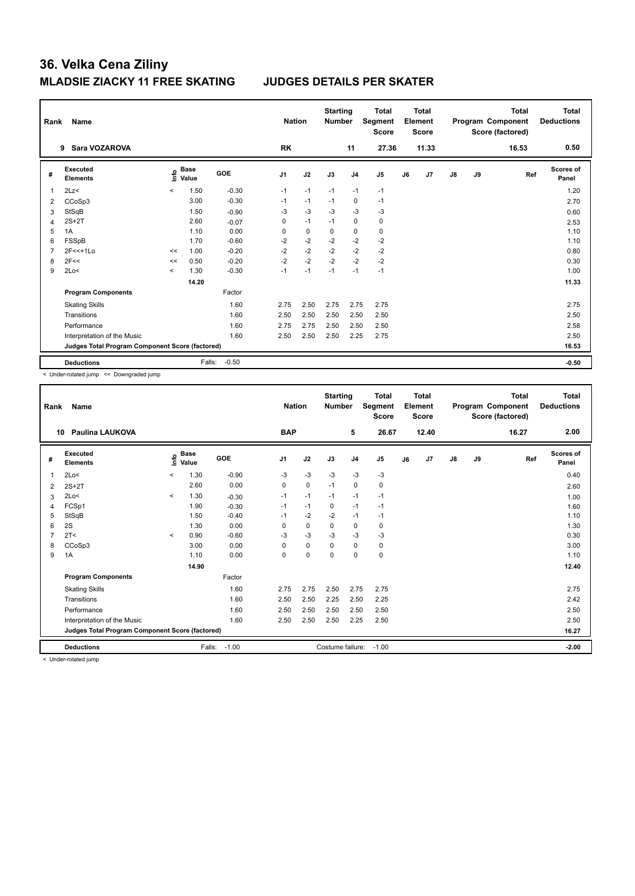| Rank | Name                                            |                          |                      |            | <b>Nation</b>  |             | <b>Starting</b><br><b>Number</b> |                | <b>Total</b><br>Segment<br><b>Score</b> |    | <b>Total</b><br>Element<br><b>Score</b> |               |    | <b>Total</b><br>Program Component<br>Score (factored) | Total<br><b>Deductions</b> |
|------|-------------------------------------------------|--------------------------|----------------------|------------|----------------|-------------|----------------------------------|----------------|-----------------------------------------|----|-----------------------------------------|---------------|----|-------------------------------------------------------|----------------------------|
|      | Sara VOZAROVA<br>9                              |                          |                      |            | <b>RK</b>      |             |                                  | 11             | 27.36                                   |    | 11.33                                   |               |    | 16.53                                                 | 0.50                       |
| #    | <b>Executed</b><br><b>Elements</b>              | <u>info</u>              | <b>Base</b><br>Value | <b>GOE</b> | J <sub>1</sub> | J2          | J3                               | J <sub>4</sub> | J <sub>5</sub>                          | J6 | J7                                      | $\mathsf{J}8$ | J9 | Ref                                                   | Scores of<br>Panel         |
| -1   | 2Lz                                             | $\hat{}$                 | 1.50                 | $-0.30$    | $-1$           | $-1$        | $-1$                             | $-1$           | $-1$                                    |    |                                         |               |    |                                                       | 1.20                       |
| 2    | CCoSp3                                          |                          | 3.00                 | $-0.30$    | $-1$           | $-1$        | $-1$                             | $\mathbf 0$    | $-1$                                    |    |                                         |               |    |                                                       | 2.70                       |
| 3    | StSqB                                           |                          | 1.50                 | $-0.90$    | $-3$           | $-3$        | $-3$                             | $-3$           | $-3$                                    |    |                                         |               |    |                                                       | 0.60                       |
| 4    | $2S+2T$                                         |                          | 2.60                 | $-0.07$    | 0              | $-1$        | $-1$                             | $\mathbf 0$    | 0                                       |    |                                         |               |    |                                                       | 2.53                       |
| 5    | 1A                                              |                          | 1.10                 | 0.00       | 0              | $\mathbf 0$ | 0                                | $\mathbf 0$    | $\pmb{0}$                               |    |                                         |               |    |                                                       | 1.10                       |
| 6    | FSSpB                                           |                          | 1.70                 | $-0.60$    | $-2$           | $-2$        | $-2$                             | $-2$           | $-2$                                    |    |                                         |               |    |                                                       | 1.10                       |
| 7    | $2F<<+1Lo$                                      | <<                       | 1.00                 | $-0.20$    | $-2$           | $-2$        | $-2$                             | $-2$           | $-2$                                    |    |                                         |               |    |                                                       | 0.80                       |
| 8    | 2F<<                                            | <<                       | 0.50                 | $-0.20$    | $-2$           | $-2$        | $-2$                             | $-2$           | $-2$                                    |    |                                         |               |    |                                                       | 0.30                       |
| 9    | 2Lo<                                            | $\overline{\phantom{a}}$ | 1.30                 | $-0.30$    | $-1$           | $-1$        | $-1$                             | $-1$           | $-1$                                    |    |                                         |               |    |                                                       | 1.00                       |
|      |                                                 |                          | 14.20                |            |                |             |                                  |                |                                         |    |                                         |               |    |                                                       | 11.33                      |
|      | <b>Program Components</b>                       |                          |                      | Factor     |                |             |                                  |                |                                         |    |                                         |               |    |                                                       |                            |
|      | <b>Skating Skills</b>                           |                          |                      | 1.60       | 2.75           | 2.50        | 2.75                             | 2.75           | 2.75                                    |    |                                         |               |    |                                                       | 2.75                       |
|      | Transitions                                     |                          |                      | 1.60       | 2.50           | 2.50        | 2.50                             | 2.50           | 2.50                                    |    |                                         |               |    |                                                       | 2.50                       |
|      | Performance                                     |                          |                      | 1.60       | 2.75           | 2.75        | 2.50                             | 2.50           | 2.50                                    |    |                                         |               |    |                                                       | 2.58                       |
|      | Interpretation of the Music                     |                          |                      | 1.60       | 2.50           | 2.50        | 2.50                             | 2.25           | 2.75                                    |    |                                         |               |    |                                                       | 2.50                       |
|      | Judges Total Program Component Score (factored) |                          |                      |            |                |             |                                  |                |                                         |    |                                         |               |    |                                                       | 16.53                      |
|      | <b>Deductions</b>                               |                          | Falls:               | $-0.50$    |                |             |                                  |                |                                         |    |                                         |               |    |                                                       | $-0.50$                    |

< Under-rotated jump << Downgraded jump

| Rank           | Name                                            |         |                      |            | <b>Nation</b>  |             | <b>Starting</b><br><b>Number</b> |                | <b>Total</b><br>Segment<br><b>Score</b> |    | <b>Total</b><br>Element<br><b>Score</b> |               |    | <b>Total</b><br>Program Component<br>Score (factored) | <b>Total</b><br><b>Deductions</b> |
|----------------|-------------------------------------------------|---------|----------------------|------------|----------------|-------------|----------------------------------|----------------|-----------------------------------------|----|-----------------------------------------|---------------|----|-------------------------------------------------------|-----------------------------------|
| 10             | <b>Paulina LAUKOVA</b>                          |         |                      |            | <b>BAP</b>     |             |                                  | 5              | 26.67                                   |    | 12.40                                   |               |    | 16.27                                                 | 2.00                              |
| #              | Executed<br><b>Elements</b>                     | ۴٥      | <b>Base</b><br>Value | <b>GOE</b> | J <sub>1</sub> | J2          | J3                               | J <sub>4</sub> | J <sub>5</sub>                          | J6 | J7                                      | $\mathsf{J}8$ | J9 | Ref                                                   | <b>Scores of</b><br>Panel         |
| $\mathbf{1}$   | 2Lo<                                            | $\prec$ | 1.30                 | $-0.90$    | $-3$           | $-3$        | $-3$                             | $-3$           | $-3$                                    |    |                                         |               |    |                                                       | 0.40                              |
| $\overline{2}$ | $2S+2T$                                         |         | 2.60                 | 0.00       | 0              | $\mathbf 0$ | $-1$                             | $\mathbf 0$    | $\pmb{0}$                               |    |                                         |               |    |                                                       | 2.60                              |
| 3              | 2Lo<                                            | $\prec$ | 1.30                 | $-0.30$    | $-1$           | $-1$        | $-1$                             | $-1$           | $-1$                                    |    |                                         |               |    |                                                       | 1.00                              |
| $\overline{4}$ | FCSp1                                           |         | 1.90                 | $-0.30$    | $-1$           | $-1$        | $\mathbf 0$                      | $-1$           | $-1$                                    |    |                                         |               |    |                                                       | 1.60                              |
| 5              | StSqB                                           |         | 1.50                 | $-0.40$    | $-1$           | $-2$        | $-2$                             | $-1$           | $-1$                                    |    |                                         |               |    |                                                       | 1.10                              |
| 6              | 2S                                              |         | 1.30                 | 0.00       | 0              | $\mathbf 0$ | 0                                | 0              | 0                                       |    |                                         |               |    |                                                       | 1.30                              |
| $\overline{7}$ | 2T <                                            | $\prec$ | 0.90                 | $-0.60$    | $-3$           | $-3$        | $-3$                             | $-3$           | $-3$                                    |    |                                         |               |    |                                                       | 0.30                              |
| 8              | CCoSp3                                          |         | 3.00                 | 0.00       | 0              | $\mathbf 0$ | $\Omega$                         | $\mathbf 0$    | 0                                       |    |                                         |               |    |                                                       | 3.00                              |
| 9              | 1A                                              |         | 1.10                 | 0.00       | $\Omega$       | $\mathbf 0$ | $\Omega$                         | $\Omega$       | $\pmb{0}$                               |    |                                         |               |    |                                                       | 1.10                              |
|                |                                                 |         | 14.90                |            |                |             |                                  |                |                                         |    |                                         |               |    |                                                       | 12.40                             |
|                | <b>Program Components</b>                       |         |                      | Factor     |                |             |                                  |                |                                         |    |                                         |               |    |                                                       |                                   |
|                | <b>Skating Skills</b>                           |         |                      | 1.60       | 2.75           | 2.75        | 2.50                             | 2.75           | 2.75                                    |    |                                         |               |    |                                                       | 2.75                              |
|                | Transitions                                     |         |                      | 1.60       | 2.50           | 2.50        | 2.25                             | 2.50           | 2.25                                    |    |                                         |               |    |                                                       | 2.42                              |
|                | Performance                                     |         |                      | 1.60       | 2.50           | 2.50        | 2.50                             | 2.50           | 2.50                                    |    |                                         |               |    |                                                       | 2.50                              |
|                | Interpretation of the Music                     |         |                      | 1.60       | 2.50           | 2.50        | 2.50                             | 2.25           | 2.50                                    |    |                                         |               |    |                                                       | 2.50                              |
|                | Judges Total Program Component Score (factored) |         |                      |            |                |             |                                  |                |                                         |    |                                         |               |    |                                                       | 16.27                             |
|                | <b>Deductions</b>                               |         | Falls:               | $-1.00$    |                |             | Costume failure:                 |                | $-1.00$                                 |    |                                         |               |    |                                                       | $-2.00$                           |

< Under-rotated jump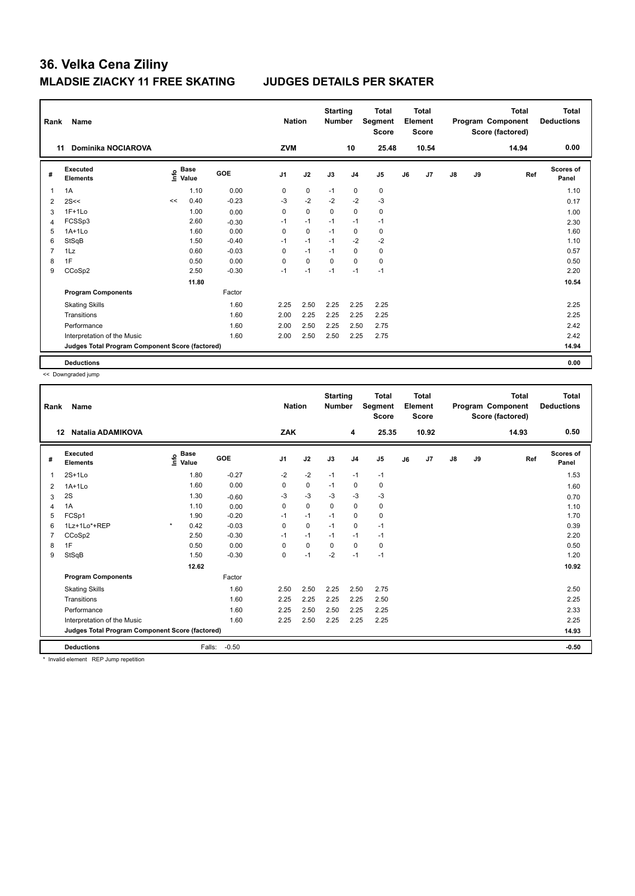| Rank           | Name                                            |    |                                  |            | <b>Nation</b>  |             | <b>Starting</b><br><b>Number</b> |                | <b>Total</b><br>Segment<br><b>Score</b> |    | <b>Total</b><br>Element<br><b>Score</b> |               |    | <b>Total</b><br>Program Component<br>Score (factored) | Total<br><b>Deductions</b> |
|----------------|-------------------------------------------------|----|----------------------------------|------------|----------------|-------------|----------------------------------|----------------|-----------------------------------------|----|-----------------------------------------|---------------|----|-------------------------------------------------------|----------------------------|
|                | Dominika NOCIAROVA<br>11                        |    |                                  |            | <b>ZVM</b>     |             |                                  | 10             | 25.48                                   |    | 10.54                                   |               |    | 14.94                                                 | 0.00                       |
| #              | Executed<br><b>Elements</b>                     |    | <b>Base</b><br>o Base<br>⊆ Value | <b>GOE</b> | J <sub>1</sub> | J2          | J3                               | J <sub>4</sub> | J5                                      | J6 | J7                                      | $\mathsf{J}8$ | J9 | Ref                                                   | Scores of<br>Panel         |
| 1              | 1A                                              |    | 1.10                             | 0.00       | 0              | $\pmb{0}$   | $-1$                             | 0              | $\pmb{0}$                               |    |                                         |               |    |                                                       | 1.10                       |
| $\overline{2}$ | 2S<<                                            | << | 0.40                             | $-0.23$    | $-3$           | $-2$        | $-2$                             | $-2$           | $-3$                                    |    |                                         |               |    |                                                       | 0.17                       |
| 3              | $1F+1Lo$                                        |    | 1.00                             | 0.00       | $\Omega$       | $\mathbf 0$ | $\Omega$                         | $\mathbf 0$    | 0                                       |    |                                         |               |    |                                                       | 1.00                       |
| 4              | FCSSp3                                          |    | 2.60                             | $-0.30$    | $-1$           | $-1$        | $-1$                             | $-1$           | $-1$                                    |    |                                         |               |    |                                                       | 2.30                       |
| 5              | $1A+1Lo$                                        |    | 1.60                             | 0.00       | 0              | $\mathbf 0$ | $-1$                             | 0              | 0                                       |    |                                         |               |    |                                                       | 1.60                       |
| 6              | StSqB                                           |    | 1.50                             | $-0.40$    | $-1$           | $-1$        | $-1$                             | $-2$           | $-2$                                    |    |                                         |               |    |                                                       | 1.10                       |
| 7              | 1Lz                                             |    | 0.60                             | $-0.03$    | 0              | $-1$        | $-1$                             | $\mathbf 0$    | $\pmb{0}$                               |    |                                         |               |    |                                                       | 0.57                       |
| 8              | 1F                                              |    | 0.50                             | 0.00       | $\Omega$       | 0           | $\Omega$                         | $\Omega$       | 0                                       |    |                                         |               |    |                                                       | 0.50                       |
| 9              | CCoSp2                                          |    | 2.50                             | $-0.30$    | $-1$           | $-1$        | $-1$                             | $-1$           | $-1$                                    |    |                                         |               |    |                                                       | 2.20                       |
|                |                                                 |    | 11.80                            |            |                |             |                                  |                |                                         |    |                                         |               |    |                                                       | 10.54                      |
|                | <b>Program Components</b>                       |    |                                  | Factor     |                |             |                                  |                |                                         |    |                                         |               |    |                                                       |                            |
|                | <b>Skating Skills</b>                           |    |                                  | 1.60       | 2.25           | 2.50        | 2.25                             | 2.25           | 2.25                                    |    |                                         |               |    |                                                       | 2.25                       |
|                | Transitions                                     |    |                                  | 1.60       | 2.00           | 2.25        | 2.25                             | 2.25           | 2.25                                    |    |                                         |               |    |                                                       | 2.25                       |
|                | Performance                                     |    |                                  | 1.60       | 2.00           | 2.50        | 2.25                             | 2.50           | 2.75                                    |    |                                         |               |    |                                                       | 2.42                       |
|                | Interpretation of the Music                     |    |                                  | 1.60       | 2.00           | 2.50        | 2.50                             | 2.25           | 2.75                                    |    |                                         |               |    |                                                       | 2.42                       |
|                | Judges Total Program Component Score (factored) |    |                                  |            |                |             |                                  |                |                                         |    |                                         |               |    |                                                       | 14.94                      |
|                | <b>Deductions</b>                               |    |                                  |            |                |             |                                  |                |                                         |    |                                         |               |    |                                                       | 0.00                       |

<< Downgraded jump

| Rank | Name                                            |                                  |         | <b>Nation</b>  |             | <b>Starting</b><br><b>Number</b> |                | <b>Total</b><br>Segment<br><b>Score</b> |    | <b>Total</b><br>Element<br><b>Score</b> |               |    | <b>Total</b><br>Program Component<br>Score (factored) | <b>Total</b><br><b>Deductions</b> |
|------|-------------------------------------------------|----------------------------------|---------|----------------|-------------|----------------------------------|----------------|-----------------------------------------|----|-----------------------------------------|---------------|----|-------------------------------------------------------|-----------------------------------|
| 12   | Natalia ADAMIKOVA                               |                                  |         | <b>ZAK</b>     |             |                                  | 4              | 25.35                                   |    | 10.92                                   |               |    | 14.93                                                 | 0.50                              |
| #    | Executed<br><b>Elements</b>                     | <b>Base</b><br>e Base<br>⊆ Value | GOE     | J <sub>1</sub> | J2          | J3                               | J <sub>4</sub> | J <sub>5</sub>                          | J6 | J7                                      | $\mathsf{J}8$ | J9 | Ref                                                   | <b>Scores of</b><br>Panel         |
| 1    | $2S+1Lo$                                        | 1.80                             | $-0.27$ | $-2$           | $-2$        | $-1$                             | $-1$           | $-1$                                    |    |                                         |               |    |                                                       | 1.53                              |
| 2    | $1A+1Lo$                                        | 1.60                             | 0.00    | 0              | 0           | $-1$                             | 0              | 0                                       |    |                                         |               |    |                                                       | 1.60                              |
| 3    | 2S                                              | 1.30                             | $-0.60$ | -3             | $-3$        | -3                               | -3             | $-3$                                    |    |                                         |               |    |                                                       | 0.70                              |
| 4    | 1A                                              | 1.10                             | 0.00    | 0              | $\mathbf 0$ | $\mathbf 0$                      | $\mathbf 0$    | $\mathbf 0$                             |    |                                         |               |    |                                                       | 1.10                              |
| 5    | FCSp1                                           | 1.90                             | $-0.20$ | $-1$           | $-1$        | $-1$                             | 0              | 0                                       |    |                                         |               |    |                                                       | 1.70                              |
| 6    | 1Lz+1Lo*+REP                                    | $\star$<br>0.42                  | $-0.03$ | 0              | $\mathbf 0$ | $-1$                             | $\mathbf 0$    | $-1$                                    |    |                                         |               |    |                                                       | 0.39                              |
|      | CCoSp2                                          | 2.50                             | $-0.30$ | $-1$           | $-1$        | $-1$                             | $-1$           | $-1$                                    |    |                                         |               |    |                                                       | 2.20                              |
| 8    | 1F                                              | 0.50                             | 0.00    | $\mathbf 0$    | $\mathbf 0$ | $\mathbf 0$                      | $\mathbf 0$    | $\mathbf 0$                             |    |                                         |               |    |                                                       | 0.50                              |
| 9    | StSqB                                           | 1.50                             | $-0.30$ | 0              | $-1$        | $-2$                             | $-1$           | $-1$                                    |    |                                         |               |    |                                                       | 1.20                              |
|      |                                                 | 12.62                            |         |                |             |                                  |                |                                         |    |                                         |               |    |                                                       | 10.92                             |
|      | <b>Program Components</b>                       |                                  | Factor  |                |             |                                  |                |                                         |    |                                         |               |    |                                                       |                                   |
|      | <b>Skating Skills</b>                           |                                  | 1.60    | 2.50           | 2.50        | 2.25                             | 2.50           | 2.75                                    |    |                                         |               |    |                                                       | 2.50                              |
|      | Transitions                                     |                                  | 1.60    | 2.25           | 2.25        | 2.25                             | 2.25           | 2.50                                    |    |                                         |               |    |                                                       | 2.25                              |
|      | Performance                                     |                                  | 1.60    | 2.25           | 2.50        | 2.50                             | 2.25           | 2.25                                    |    |                                         |               |    |                                                       | 2.33                              |
|      | Interpretation of the Music                     |                                  | 1.60    | 2.25           | 2.50        | 2.25                             | 2.25           | 2.25                                    |    |                                         |               |    |                                                       | 2.25                              |
|      | Judges Total Program Component Score (factored) |                                  |         |                |             |                                  |                |                                         |    |                                         |               |    |                                                       | 14.93                             |
|      | <b>Deductions</b>                               | Falls:                           | $-0.50$ |                |             |                                  |                |                                         |    |                                         |               |    |                                                       | $-0.50$                           |

\* Invalid element REP Jump repetition